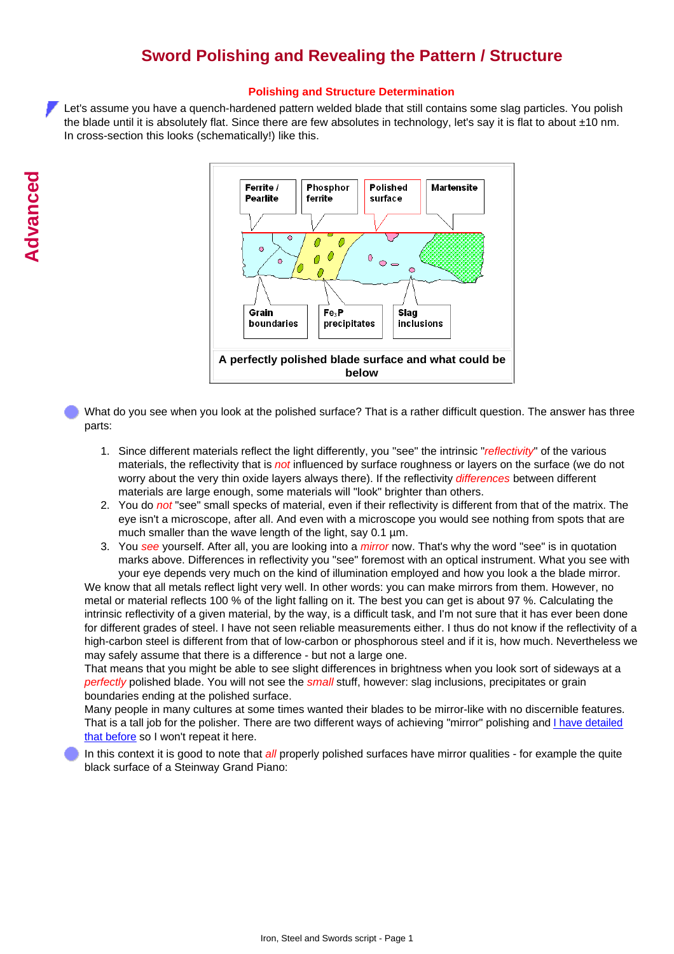## **Sword Polishing and Revealing the Pattern / Structure**

## **Polishing and Structure Determination**

Let's assume you have a quench-hardened pattern welded blade that still contains some slag particles. You polish the blade until it is absolutely flat. Since there are few absolutes in technology, let's say it is flat to about ±10 nm. In cross-section this looks (schematically!) like this.



What do you see when you look at the polished surface? That is a rather difficult question. The answer has three parts:

- 1. Since different materials reflect the light differently, you "see" the intrinsic "*reflectivity*" of the various materials, the reflectivity that is *not* influenced by surface roughness or layers on the surface (we do not worry about the very thin oxide layers always there). If the reflectivity *differences* between different materials are large enough, some materials will "look" brighter than others.
- 2. You do *not* "see" small specks of material, even if their reflectivity is different from that of the matrix. The eye isn't a microscope, after all. And even with a microscope you would see nothing from spots that are much smaller than the wave length of the light, say 0.1  $\mu$ m.
- 3. You see yourself. After all, you are looking into a *mirror* now. That's why the word "see" is in quotation marks above. Differences in reflectivity you "see" foremost with an optical instrument. What you see with your eye depends very much on the kind of illumination employed and how you look a the blade mirror.

We know that all metals reflect light very well. In other words: you can make mirrors from them. However, no metal or material reflects 100 % of the light falling on it. The best you can get is about 97 %. Calculating the intrinsic reflectivity of a given material, by the way, is a difficult task, and I'm not sure that it has ever been done for different grades of steel. I have not seen reliable measurements either. I thus do not know if the reflectivity of a high-carbon steel is different from that of low-carbon or phosphorous steel and if it is, how much. Nevertheless we may safely assume that there is a difference - but not a large one.

That means that you might be able to see slight differences in brightness when you look sort of sideways at a *perfectly* polished blade. You will not see the *small* stuff, however: slag inclusions, precipitates or grain boundaries ending at the polished surface.

Many people in many cultures at some times wanted their blades to be mirror-like with no discernible features. That is a tall job for the polisher. There are two different ways of achieving "mirror" polishing and [I have detailed](http://www.tf.uni-kiel.de/matwis/amat/iss/kap_7/advanced/a7_1_2.html#_7) [that before](http://www.tf.uni-kiel.de/matwis/amat/iss/kap_7/advanced/a7_1_2.html#_7) so I won't repeat it here.

In this context it is good to note that *all* properly polished surfaces have mirror qualities - for example the quite black surface of a Steinway Grand Piano: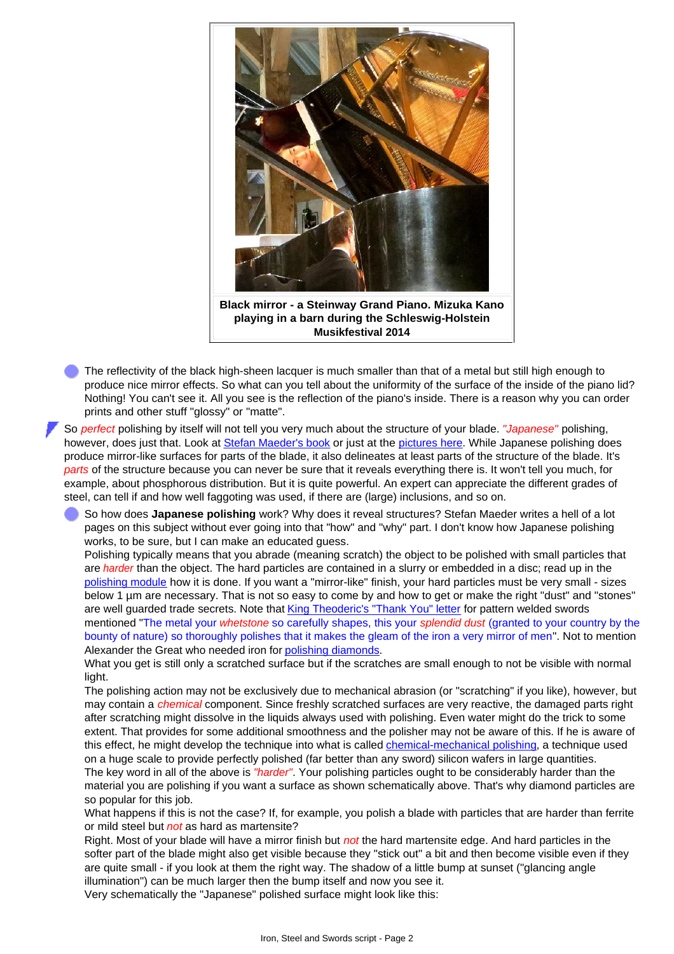

The reflectivity of the black high-sheen lacquer is much smaller than that of a metal but still high enough to produce nice mirror effects. So what can you tell about the uniformity of the surface of the inside of the piano lid? Nothing! You can't see it. All you see is the reflection of the piano's inside. There is a reason why you can order prints and other stuff "glossy" or "matte".

So *perfect* polishing by itself will not tell you very much about the structure of your blade. *"Japanese"* polishing, however, does just that. Look at [Stefan Maeder's book](http://www.tf.uni-kiel.de/matwis/amat/iss/kap_1/illustr/s1_1_2.html#!maeder) or just at the [pictures here](http://www.tf.uni-kiel.de/matwis/amat/iss/kap_b/advanced/ab_3_1.html#_1). While Japanese polishing does produce mirror-like surfaces for parts of the blade, it also delineates at least parts of the structure of the blade. It's *parts* of the structure because you can never be sure that it reveals everything there is. It won't tell you much, for example, about phosphorous distribution. But it is quite powerful. An expert can appreciate the different grades of steel, can tell if and how well faggoting was used, if there are (large) inclusions, and so on.

So how does **Japanese polishing** work? Why does it reveal structures? Stefan Maeder writes a hell of a lot pages on this subject without ever going into that "how" and "why" part. I don't know how Japanese polishing works, to be sure, but I can make an educated guess.

Polishing typically means that you abrade (meaning scratch) the object to be polished with small particles that are *harder* than the object. The hard particles are contained in a slurry or embedded in a disc; read up in the [polishing module](http://www.tf.uni-kiel.de/matwis/amat/iss/kap_7/advanced/a7_1_2.html) how it is done. If you want a "mirror-like" finish, your hard particles must be very small - sizes below 1 µm are necessary. That is not so easy to come by and how to get or make the right "dust" and "stones" are well guarded trade secrets. Note that [King Theoderic's "Thank You" letter](http://www.tf.uni-kiel.de/matwis/amat/iss/kap_2/illustr/i2_1_2.html) for pattern welded swords mentioned "The metal your *whetstone* so carefully shapes, this your *splendid dust* (granted to your country by the bounty of nature) so thoroughly polishes that it makes the gleam of the iron a very mirror of men". Not to mention Alexander the Great who needed iron for [polishing diamonds.](http://www.tf.uni-kiel.de/matwis/amat/iss/kap_a/advanced/ta_2_1.html#_5)

What you get is still only a scratched surface but if the scratches are small enough to not be visible with normal light.

The polishing action may not be exclusively due to mechanical abrasion (or "scratching" if you like), however, but may contain a *chemical* component. Since freshly scratched surfaces are very reactive, the damaged parts right after scratching might dissolve in the liquids always used with polishing. Even water might do the trick to some extent. That provides for some additional smoothness and the polisher may not be aware of this. If he is aware of this effect, he might develop the technique into what is called *chemical-mechanical polishing*, a technique used on a huge scale to provide perfectly polished (far better than any sword) silicon wafers in large quantities.

The key word in all of the above is *"harder"*. Your polishing particles ought to be considerably harder than the material you are polishing if you want a surface as shown schematically above. That's why diamond particles are so popular for this job.

What happens if this is not the case? If, for example, you polish a blade with particles that are harder than ferrite or mild steel but *not* as hard as martensite?

Right. Most of your blade will have a mirror finish but *not* the hard martensite edge. And hard particles in the softer part of the blade might also get visible because they "stick out" a bit and then become visible even if they are quite small - if you look at them the right way. The shadow of a little bump at sunset ("glancing angle illumination") can be much larger then the bump itself and now you see it.

Very schematically the "Japanese" polished surface might look like this: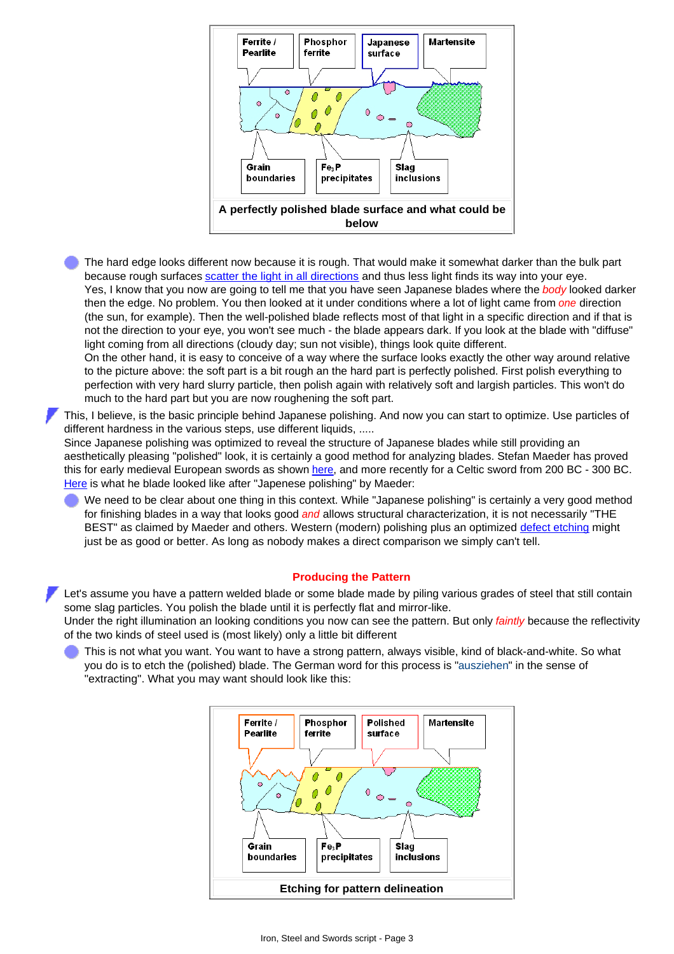

The hard edge looks different now because it is rough. That would make it somewhat darker than the bulk part because rough surfaces [scatter the light in all directions](http://www.tf.uni-kiel.de/matwis/amat/iss/kap_7/advanced/a7_1_2.html#_8) and thus less light finds its way into your eye. Yes, I know that you now are going to tell me that you have seen Japanese blades where the *body* looked darker then the edge. No problem. You then looked at it under conditions where a lot of light came from *one* direction (the sun, for example). Then the well-polished blade reflects most of that light in a specific direction and if that is not the direction to your eye, you won't see much - the blade appears dark. If you look at the blade with "diffuse" light coming from all directions (cloudy day; sun not visible), things look quite different.

On the other hand, it is easy to conceive of a way where the surface looks exactly the other way around relative to the picture above: the soft part is a bit rough an the hard part is perfectly polished. First polish everything to perfection with very hard slurry particle, then polish again with relatively soft and largish particles. This won't do much to the hard part but you are now roughening the soft part.

This, I believe, is the basic principle behind Japanese polishing. And now you can start to optimize. Use particles of different hardness in the various steps, use different liquids, .....

Since Japanese polishing was optimized to reveal the structure of Japanese blades while still providing an aesthetically pleasing "polished" look, it is certainly a good method for analyzing blades. Stefan Maeder has proved this for early medieval European swords as shown [here](http://www.tf.uni-kiel.de/matwis/amat/iss/kap_b/advanced/ab_3_1.html#_1), and more recently for a Celtic sword from 200 BC - 300 BC. [Here](http://www.tf.uni-kiel.de/matwis/amat/iss/kap_b/advanced/ab_3_1.html#_2) is what he blade looked like after "Japenese polishing" by Maeder:

We need to be clear about one thing in this context. While "Japanese polishing" is certainly a very good method for finishing blades in a way that looks good *and* allows structural characterization, it is not necessarily "THE BEST" as claimed by Maeder and others. Western (modern) polishing plus an optimized [defect etching](http://www.tf.uni-kiel.de/matwis/amat/iss/kap_7/illustr/s7_1_2.html) might just be as good or better. As long as nobody makes a direct comparison we simply can't tell.

## **Producing the Pattern**

Let's assume you have a pattern welded blade or some blade made by piling various grades of steel that still contain some slag particles. You polish the blade until it is perfectly flat and mirror-like.

Under the right illumination an looking conditions you now can see the pattern. But only *faintly* because the reflectivity of the two kinds of steel used is (most likely) only a little bit different

This is not what you want. You want to have a strong pattern, always visible, kind of black-and-white. So what you do is to etch the (polished) blade. The German word for this process is "ausziehen" in the sense of "extracting". What you may want should look like this: